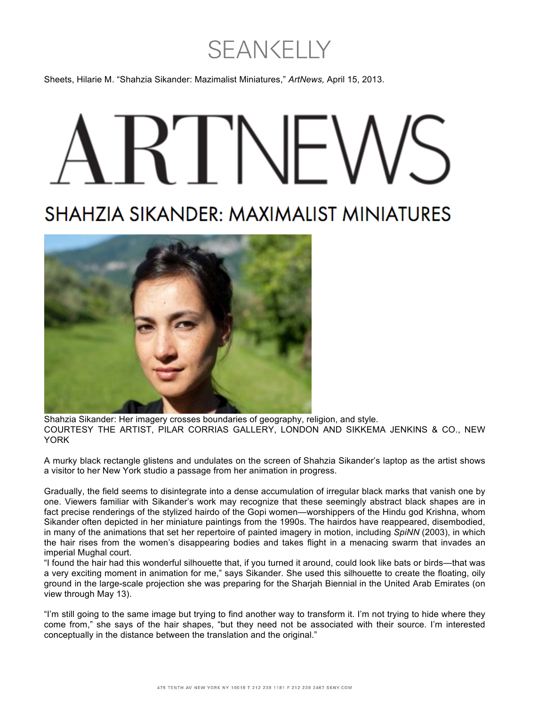## **SEANKELLY**

Sheets, Hilarie M. "Shahzia Sikander: Mazimalist Miniatures," *ArtNews,* April 15, 2013.

## **SHAHZIA SIKANDER: MAXIMALIST MINIATURES**



Shahzia Sikander: Her imagery crosses boundaries of geography, religion, and style. COURTESY THE ARTIST, PILAR CORRIAS GALLERY, LONDON AND SIKKEMA JENKINS & CO., NEW YORK

A murky black rectangle glistens and undulates on the screen of Shahzia Sikander's laptop as the artist shows a visitor to her New York studio a passage from her animation in progress.

Gradually, the field seems to disintegrate into a dense accumulation of irregular black marks that vanish one by one. Viewers familiar with Sikander's work may recognize that these seemingly abstract black shapes are in fact precise renderings of the stylized hairdo of the Gopi women—worshippers of the Hindu god Krishna, whom Sikander often depicted in her miniature paintings from the 1990s. The hairdos have reappeared, disembodied, in many of the animations that set her repertoire of painted imagery in motion, including *SpiNN* (2003), in which the hair rises from the women's disappearing bodies and takes flight in a menacing swarm that invades an imperial Mughal court.

"I found the hair had this wonderful silhouette that, if you turned it around, could look like bats or birds—that was a very exciting moment in animation for me," says Sikander. She used this silhouette to create the floating, oily ground in the large-scale projection she was preparing for the Sharjah Biennial in the United Arab Emirates (on view through May 13).

"I'm still going to the same image but trying to find another way to transform it. I'm not trying to hide where they come from," she says of the hair shapes, "but they need not be associated with their source. I'm interested conceptually in the distance between the translation and the original."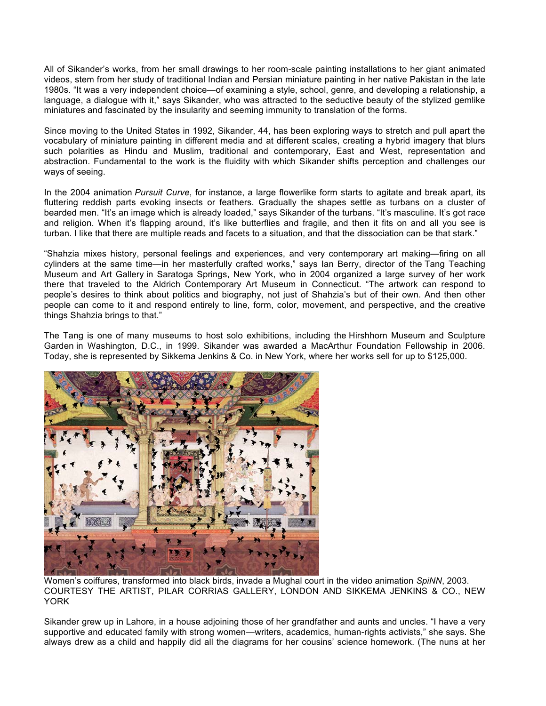All of Sikander's works, from her small drawings to her room-scale painting installations to her giant animated videos, stem from her study of traditional Indian and Persian miniature painting in her native Pakistan in the late 1980s. "It was a very independent choice—of examining a style, school, genre, and developing a relationship, a language, a dialogue with it," says Sikander, who was attracted to the seductive beauty of the stylized gemlike miniatures and fascinated by the insularity and seeming immunity to translation of the forms.

Since moving to the United States in 1992, Sikander, 44, has been exploring ways to stretch and pull apart the vocabulary of miniature painting in different media and at different scales, creating a hybrid imagery that blurs such polarities as Hindu and Muslim, traditional and contemporary, East and West, representation and abstraction. Fundamental to the work is the fluidity with which Sikander shifts perception and challenges our ways of seeing.

In the 2004 animation *Pursuit Curve*, for instance, a large flowerlike form starts to agitate and break apart, its fluttering reddish parts evoking insects or feathers. Gradually the shapes settle as turbans on a cluster of bearded men. "It's an image which is already loaded," says Sikander of the turbans. "It's masculine. It's got race and religion. When it's flapping around, it's like butterflies and fragile, and then it fits on and all you see is turban. I like that there are multiple reads and facets to a situation, and that the dissociation can be that stark."

"Shahzia mixes history, personal feelings and experiences, and very contemporary art making—firing on all cylinders at the same time—in her masterfully crafted works," says Ian Berry, director of the Tang Teaching Museum and Art Gallery in Saratoga Springs, New York, who in 2004 organized a large survey of her work there that traveled to the Aldrich Contemporary Art Museum in Connecticut. "The artwork can respond to people's desires to think about politics and biography, not just of Shahzia's but of their own. And then other people can come to it and respond entirely to line, form, color, movement, and perspective, and the creative things Shahzia brings to that."

The Tang is one of many museums to host solo exhibitions, including the Hirshhorn Museum and Sculpture Garden in Washington, D.C., in 1999. Sikander was awarded a MacArthur Foundation Fellowship in 2006. Today, she is represented by Sikkema Jenkins & Co. in New York, where her works sell for up to \$125,000.



Women's coiffures, transformed into black birds, invade a Mughal court in the video animation *SpiNN*, 2003. COURTESY THE ARTIST, PILAR CORRIAS GALLERY, LONDON AND SIKKEMA JENKINS & CO., NEW YORK

Sikander grew up in Lahore, in a house adjoining those of her grandfather and aunts and uncles. "I have a very supportive and educated family with strong women—writers, academics, human-rights activists," she says. She always drew as a child and happily did all the diagrams for her cousins' science homework. (The nuns at her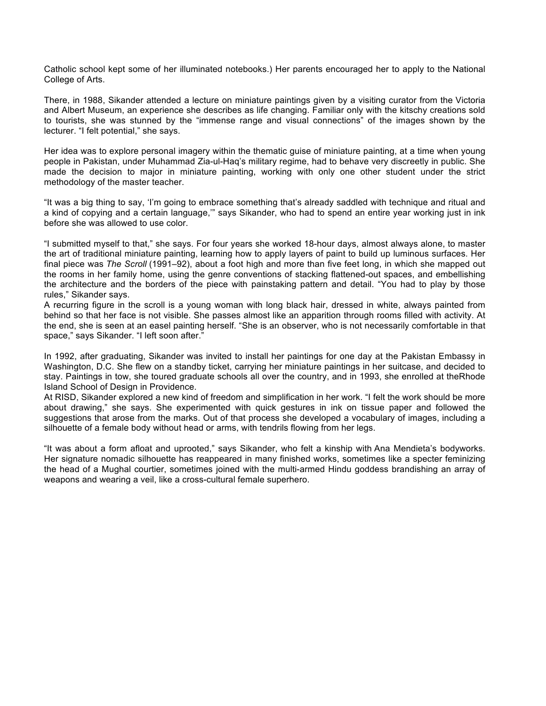Catholic school kept some of her illuminated notebooks.) Her parents encouraged her to apply to the National College of Arts.

There, in 1988, Sikander attended a lecture on miniature paintings given by a visiting curator from the Victoria and Albert Museum, an experience she describes as life changing. Familiar only with the kitschy creations sold to tourists, she was stunned by the "immense range and visual connections" of the images shown by the lecturer. "I felt potential," she says.

Her idea was to explore personal imagery within the thematic guise of miniature painting, at a time when young people in Pakistan, under Muhammad Zia-ul-Haq's military regime, had to behave very discreetly in public. She made the decision to major in miniature painting, working with only one other student under the strict methodology of the master teacher.

"It was a big thing to say, 'I'm going to embrace something that's already saddled with technique and ritual and a kind of copying and a certain language,'" says Sikander, who had to spend an entire year working just in ink before she was allowed to use color.

"I submitted myself to that," she says. For four years she worked 18-hour days, almost always alone, to master the art of traditional miniature painting, learning how to apply layers of paint to build up luminous surfaces. Her final piece was *The Scroll* (1991–92), about a foot high and more than five feet long, in which she mapped out the rooms in her family home, using the genre conventions of stacking flattened-out spaces, and embellishing the architecture and the borders of the piece with painstaking pattern and detail. "You had to play by those rules," Sikander says.

A recurring figure in the scroll is a young woman with long black hair, dressed in white, always painted from behind so that her face is not visible. She passes almost like an apparition through rooms filled with activity. At the end, she is seen at an easel painting herself. "She is an observer, who is not necessarily comfortable in that space," says Sikander. "I left soon after."

In 1992, after graduating, Sikander was invited to install her paintings for one day at the Pakistan Embassy in Washington, D.C. She flew on a standby ticket, carrying her miniature paintings in her suitcase, and decided to stay. Paintings in tow, she toured graduate schools all over the country, and in 1993, she enrolled at theRhode Island School of Design in Providence.

At RISD, Sikander explored a new kind of freedom and simplification in her work. "I felt the work should be more about drawing," she says. She experimented with quick gestures in ink on tissue paper and followed the suggestions that arose from the marks. Out of that process she developed a vocabulary of images, including a silhouette of a female body without head or arms, with tendrils flowing from her legs.

"It was about a form afloat and uprooted," says Sikander, who felt a kinship with Ana Mendieta's bodyworks. Her signature nomadic silhouette has reappeared in many finished works, sometimes like a specter feminizing the head of a Mughal courtier, sometimes joined with the multi-armed Hindu goddess brandishing an array of weapons and wearing a veil, like a cross-cultural female superhero.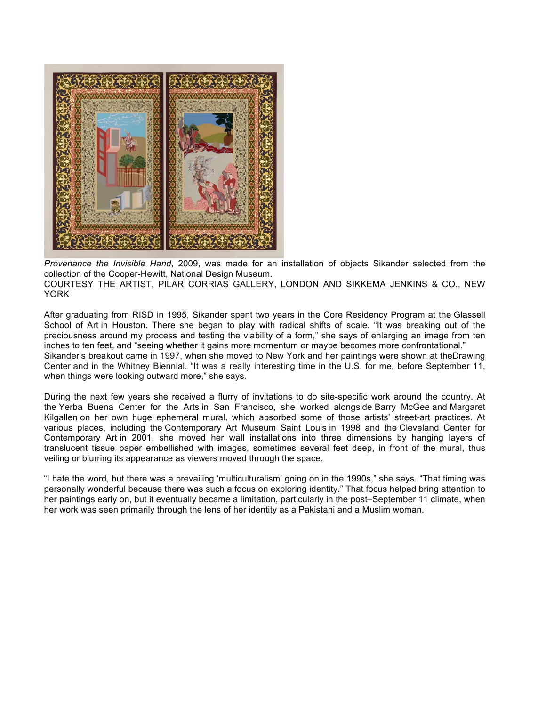

*Provenance the Invisible Hand*, 2009, was made for an installation of objects Sikander selected from the collection of the Cooper-Hewitt, National Design Museum. COURTESY THE ARTIST, PILAR CORRIAS GALLERY, LONDON AND SIKKEMA JENKINS & CO., NEW YORK

After graduating from RISD in 1995, Sikander spent two years in the Core Residency Program at the Glassell School of Art in Houston. There she began to play with radical shifts of scale. "It was breaking out of the preciousness around my process and testing the viability of a form," she says of enlarging an image from ten inches to ten feet, and "seeing whether it gains more momentum or maybe becomes more confrontational." Sikander's breakout came in 1997, when she moved to New York and her paintings were shown at theDrawing Center and in the Whitney Biennial. "It was a really interesting time in the U.S. for me, before September 11, when things were looking outward more," she says.

During the next few years she received a flurry of invitations to do site-specific work around the country. At the Yerba Buena Center for the Arts in San Francisco, she worked alongside Barry McGee and Margaret Kilgallen on her own huge ephemeral mural, which absorbed some of those artists' street-art practices. At various places, including the Contemporary Art Museum Saint Louis in 1998 and the Cleveland Center for Contemporary Art in 2001, she moved her wall installations into three dimensions by hanging layers of translucent tissue paper embellished with images, sometimes several feet deep, in front of the mural, thus veiling or blurring its appearance as viewers moved through the space.

"I hate the word, but there was a prevailing 'multiculturalism' going on in the 1990s," she says. "That timing was personally wonderful because there was such a focus on exploring identity." That focus helped bring attention to her paintings early on, but it eventually became a limitation, particularly in the post–September 11 climate, when her work was seen primarily through the lens of her identity as a Pakistani and a Muslim woman.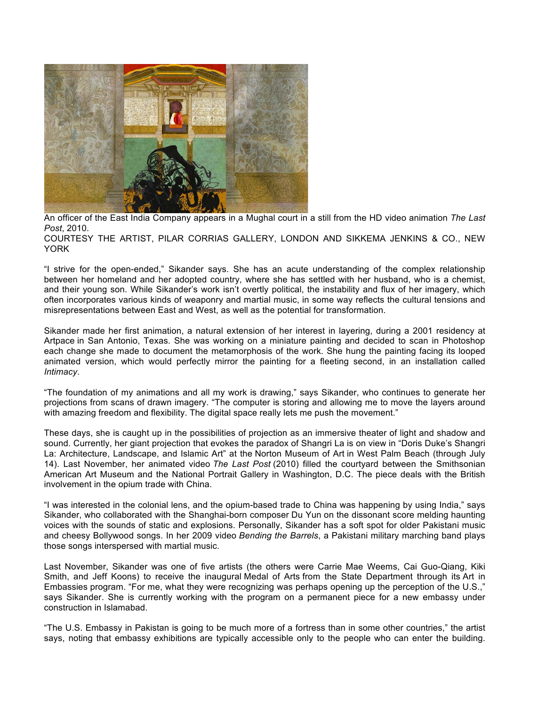

An officer of the East India Company appears in a Mughal court in a still from the HD video animation *The Last Post*, 2010.

COURTESY THE ARTIST, PILAR CORRIAS GALLERY, LONDON AND SIKKEMA JENKINS & CO., NEW YORK

"I strive for the open-ended," Sikander says. She has an acute understanding of the complex relationship between her homeland and her adopted country, where she has settled with her husband, who is a chemist, and their young son. While Sikander's work isn't overtly political, the instability and flux of her imagery, which often incorporates various kinds of weaponry and martial music, in some way reflects the cultural tensions and misrepresentations between East and West, as well as the potential for transformation.

Sikander made her first animation, a natural extension of her interest in layering, during a 2001 residency at Artpace in San Antonio, Texas. She was working on a miniature painting and decided to scan in Photoshop each change she made to document the metamorphosis of the work. She hung the painting facing its looped animated version, which would perfectly mirror the painting for a fleeting second, in an installation called *Intimacy*.

"The foundation of my animations and all my work is drawing," says Sikander, who continues to generate her projections from scans of drawn imagery. "The computer is storing and allowing me to move the layers around with amazing freedom and flexibility. The digital space really lets me push the movement."

These days, she is caught up in the possibilities of projection as an immersive theater of light and shadow and sound. Currently, her giant projection that evokes the paradox of Shangri La is on view in "Doris Duke's Shangri La: Architecture, Landscape, and Islamic Art" at the Norton Museum of Art in West Palm Beach (through July 14). Last November, her animated video *The Last Post* (2010) filled the courtyard between the Smithsonian American Art Museum and the National Portrait Gallery in Washington, D.C. The piece deals with the British involvement in the opium trade with China.

"I was interested in the colonial lens, and the opium-based trade to China was happening by using India," says Sikander, who collaborated with the Shanghai-born composer Du Yun on the dissonant score melding haunting voices with the sounds of static and explosions. Personally, Sikander has a soft spot for older Pakistani music and cheesy Bollywood songs. In her 2009 video *Bending the Barrels*, a Pakistani military marching band plays those songs interspersed with martial music.

Last November, Sikander was one of five artists (the others were Carrie Mae Weems, Cai Guo-Qiang, Kiki Smith, and Jeff Koons) to receive the inaugural Medal of Arts from the State Department through its Art in Embassies program. "For me, what they were recognizing was perhaps opening up the perception of the U.S.," says Sikander. She is currently working with the program on a permanent piece for a new embassy under construction in Islamabad.

"The U.S. Embassy in Pakistan is going to be much more of a fortress than in some other countries," the artist says, noting that embassy exhibitions are typically accessible only to the people who can enter the building.